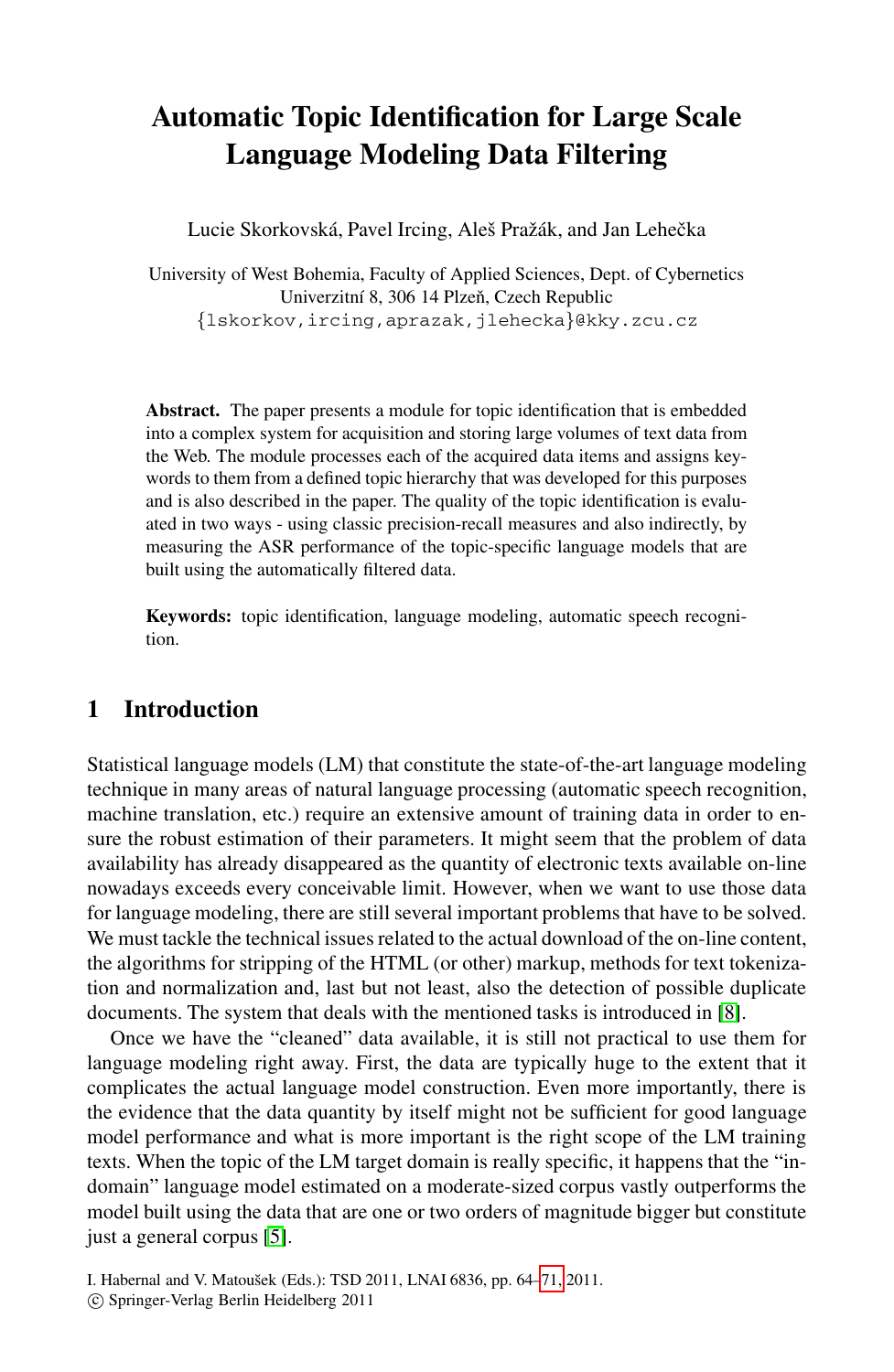# **Automatic Topic Identification for Large Scale Language Modeling Data Filtering**

Lucie Skorkovská, Pavel Ircing, Aleš Pražák, and Jan Lehečka

University of West Bohemia, Faculty of Applied Sciences, Dept. of Cybernetics Univerzitní 8, 306 14 Plzeň, Czech Republic *{*lskorkov,ircing,aprazak,jlehecka*}*@kky.zcu.cz

**Abstract.** The paper presents a module for topic identification that is embedded into a complex system for acquisition and storing large volumes of text data from the Web. The module processes each of the acquired data items and assigns keywords to them from a defined topic hierarchy that was developed for this purposes and is also described in the paper. The quality of the topic identification is evaluated in two ways - using classic precision-recall measures and also indirectly, by measuring the ASR performance of the topic-specific language models that are built using the automatically filtered data.

**Keywords:** topic identification, language modeling, automatic speech recognition.

## **1 Introduction**

Statistical language models (LM) that constitute the state-of-the-art language modeling technique in many areas of natural language processing (automatic speech recognition, machine translation, etc.) require an extensive amount of training data in order to ensure the robust estimation of their parameters. It might seem that the problem of data availability has already disappeared as the quantity of electronic texts available on-line nowadays exceeds every conceivable limit. However, when we want to use those data for language modeling, there are still several important problems that have to be solved. We must tackle the technical issues related to the actual download of the on-line content, the algorithms for stripping of the HTML (or other) markup, methods for text tokenization and normalization and, last but not least, also the detection of possible duplicate documents. The system that deals with the mentioned tasks is introduced in [\[8\]](#page-7-0).

Once we have the "cleaned" data available, it is still not practical to use them for language modeling right away. First, the data are typically huge to the extent that it complicates the actual language model construction. Even more importantly, there is the evidence that the data quantity by itself might not be sufficient for good language model performance and what is more important is the right scope of the LM training texts. When the topic of the LM target domain is really specific, it happens that the "indomain" language model estimated on a moderate-sized corpus vastly outperforms the model built using the data that are one or two orders of magnitude bigger but constitute just a general corpus [\[5\]](#page-7-1).

I. Habernal and V. Matoušek (Eds.): TSD 2011, LNAI 6836, pp. 64-71, 2011. -c Springer-Verlag Berlin Heidelberg 2011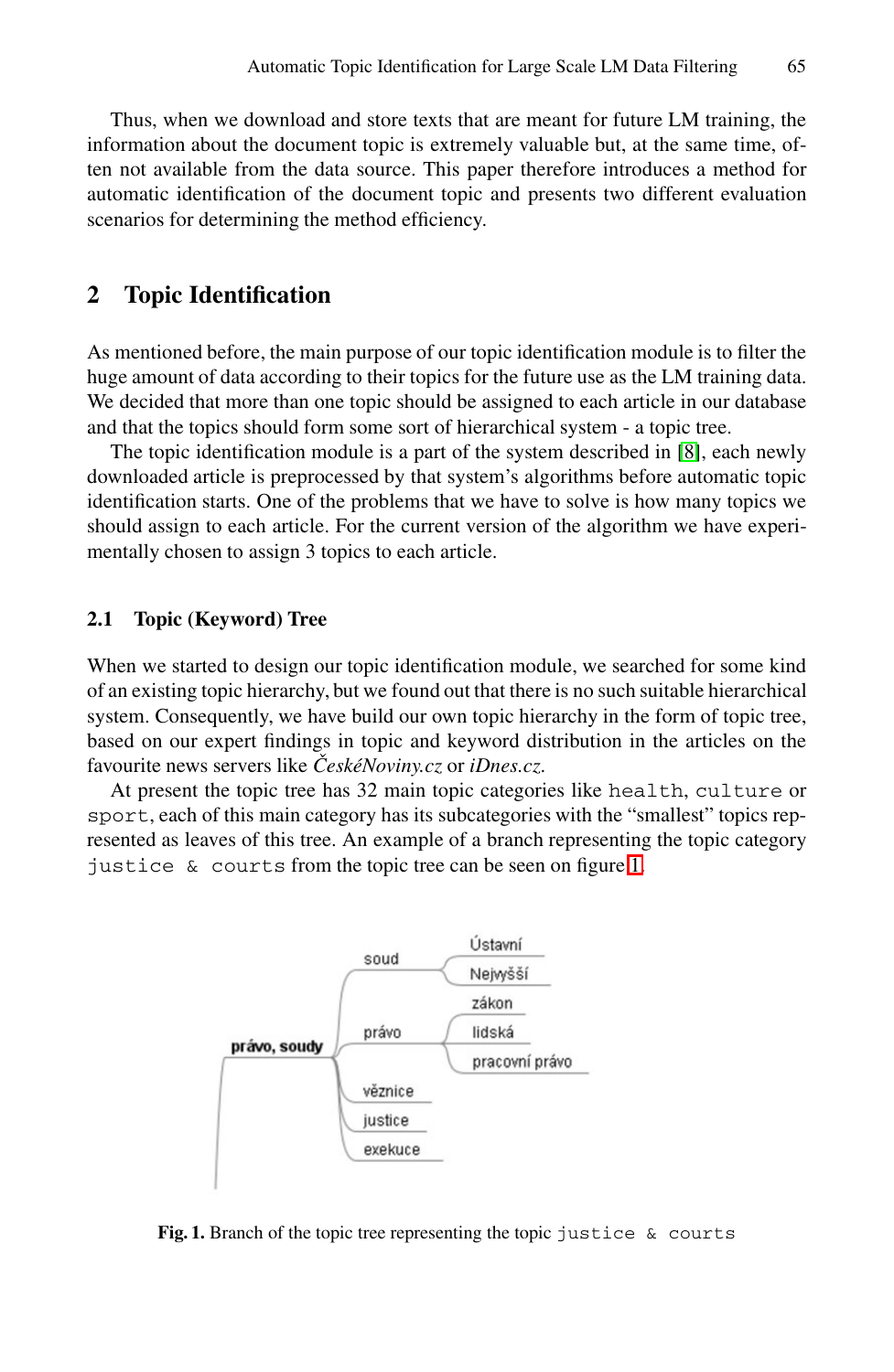Thus, when we download and store texts that are meant for future LM training, the information about the document topic is extremely valuable but, at the same time, often not available from the data source. This paper therefore introduces a method for automatic identification of the document topic and presents two different evaluation scenarios for determining the method efficiency.

### **2 Topic Identification**

As mentioned before, the main purpose of our topic identification module is to filter the huge amount of data according to their topics for the future use as the LM training data. We decided that more than one topic should be assigned to each article in our database and that the topics should form some sort of hierarchical system - a topic tree.

The topic identification module is a part of the system described in [\[8\]](#page-7-0), each newly downloaded article is preprocessed by that system's algorithms before automatic topic identification starts. One of the problems that we have to solve is how many topics we should assign to each article. For the current version of the algorithm we have experimentally chosen to assign 3 topics to each article.

#### **2.1 Topic (Keyword) Tree**

When we started to design our topic identification module, we searched for some kind of an existing topic hierarchy, but we found out that there is no such suitable hierarchical system. Consequently, we have build our own topic hierarchy in the form of topic tree, based on our expert findings in topic and keyword distribution in the articles on the *favourite news servers like <i>CeskéNoviny.cz* or *iDnes.cz.* 

At present the topic tree has 32 main topic categories like health, culture or sport, each of this main category has its subcategories with the "smallest" topics represented as leaves of this tree. An example of a branch representing the topic category justice & courts from the topic tree can be seen on figure [1.](#page-1-0)



<span id="page-1-0"></span>Fig. 1. Branch of the topic tree representing the topic justice & courts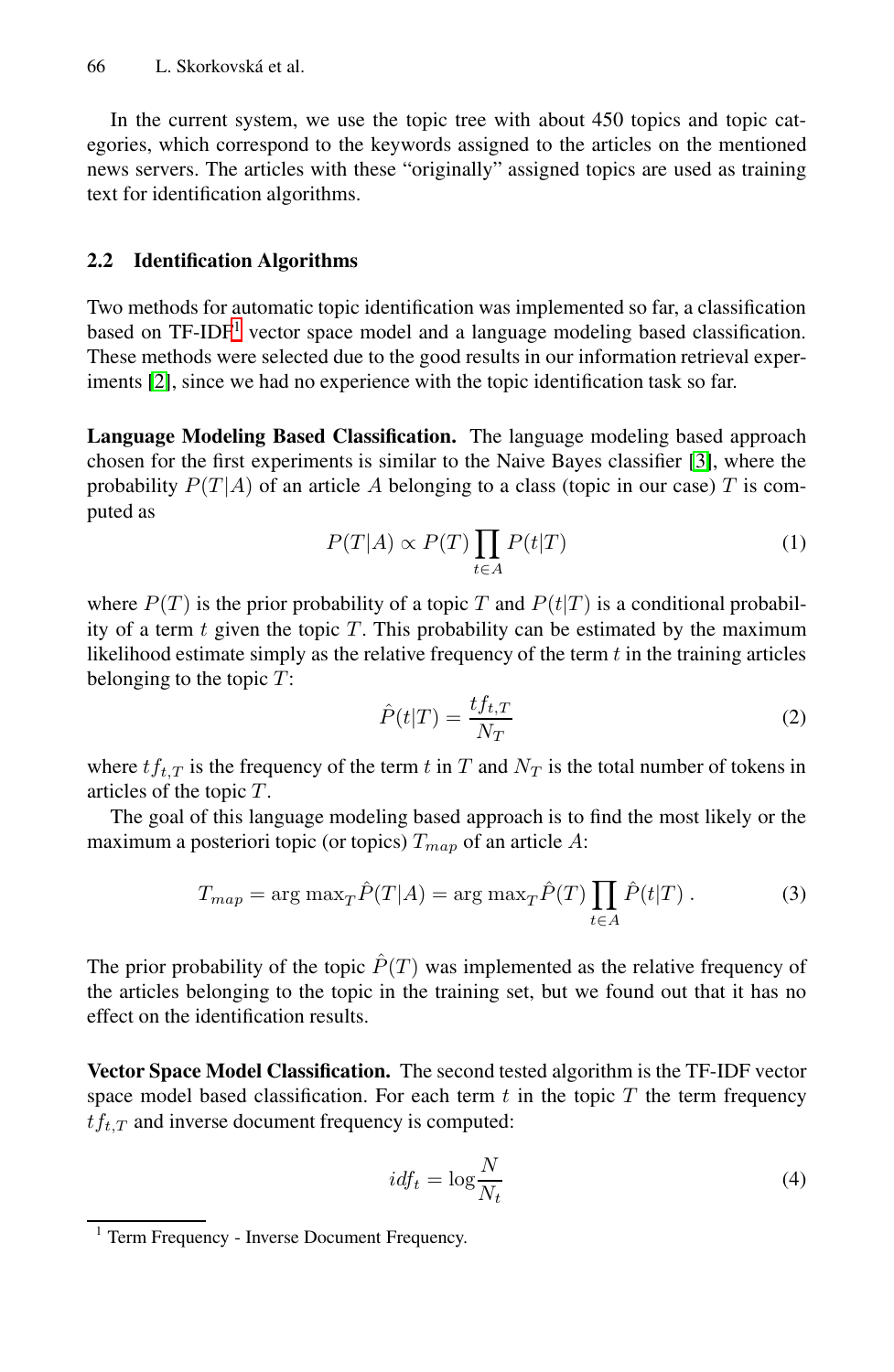In the current system, we use the topic tree with about 450 topics and topic categories, which correspond to the keywords assigned to the articles on the mentioned news servers. The articles with these "originally" assigned topics are used as training text for identification algorithms.

#### **2.2 Identification Algorithms**

Two methods for automatic topic identification was implemented so far, a classification based on  $TF-IDF<sup>1</sup>$  vector space model and a language modeling based classification. These methods were selected due to the good results in our information retrieval experiments [\[2\]](#page-7-3), since we had no experience with the topic identification task so far.

**Language Modeling Based Classification.** The language modeling based approach chosen for the first experiments is similar to the Naive Bayes classifier [\[3\]](#page-7-4), where the probability  $P(T|A)$  of an article A belonging to a class (topic in our case) T is computed as

$$
P(T|A) \propto P(T) \prod_{t \in A} P(t|T) \tag{1}
$$

where  $P(T)$  is the prior probability of a topic *T* and  $P(t|T)$  is a conditional probability of a term  $t$  given the topic  $T$ . This probability can be estimated by the maximum likelihood estimate simply as the relative frequency of the term *t* in the training articles belonging to the topic *T* :

$$
\hat{P}(t|T) = \frac{t f_{t,T}}{N_T} \tag{2}
$$

where  $tf_{t,T}$  is the frequency of the term *t* in *T* and  $N_T$  is the total number of tokens in articles of the topic *T* .

The goal of this language modeling based approach is to find the most likely or the maximum a posteriori topic (or topics) *Tmap* of an article *A*:

$$
T_{map} = \arg \max_{T} \hat{P}(T|A) = \arg \max_{T} \hat{P}(T) \prod_{t \in A} \hat{P}(t|T).
$$
 (3)

The prior probability of the topic  $\hat{P}(T)$  was implemented as the relative frequency of the articles belonging to the topic in the training set, but we found out that it has no effect on the identification results.

**Vector Space Model Classification.** The second tested algorithm is the TF-IDF vector space model based classification. For each term  $t$  in the topic  $T$  the term frequency  $tf_{t,T}$  and inverse document frequency is computed:

$$
idf_t = \log \frac{N}{N_t} \tag{4}
$$

<span id="page-2-0"></span><sup>&</sup>lt;sup>1</sup> Term Frequency - Inverse Document Frequency.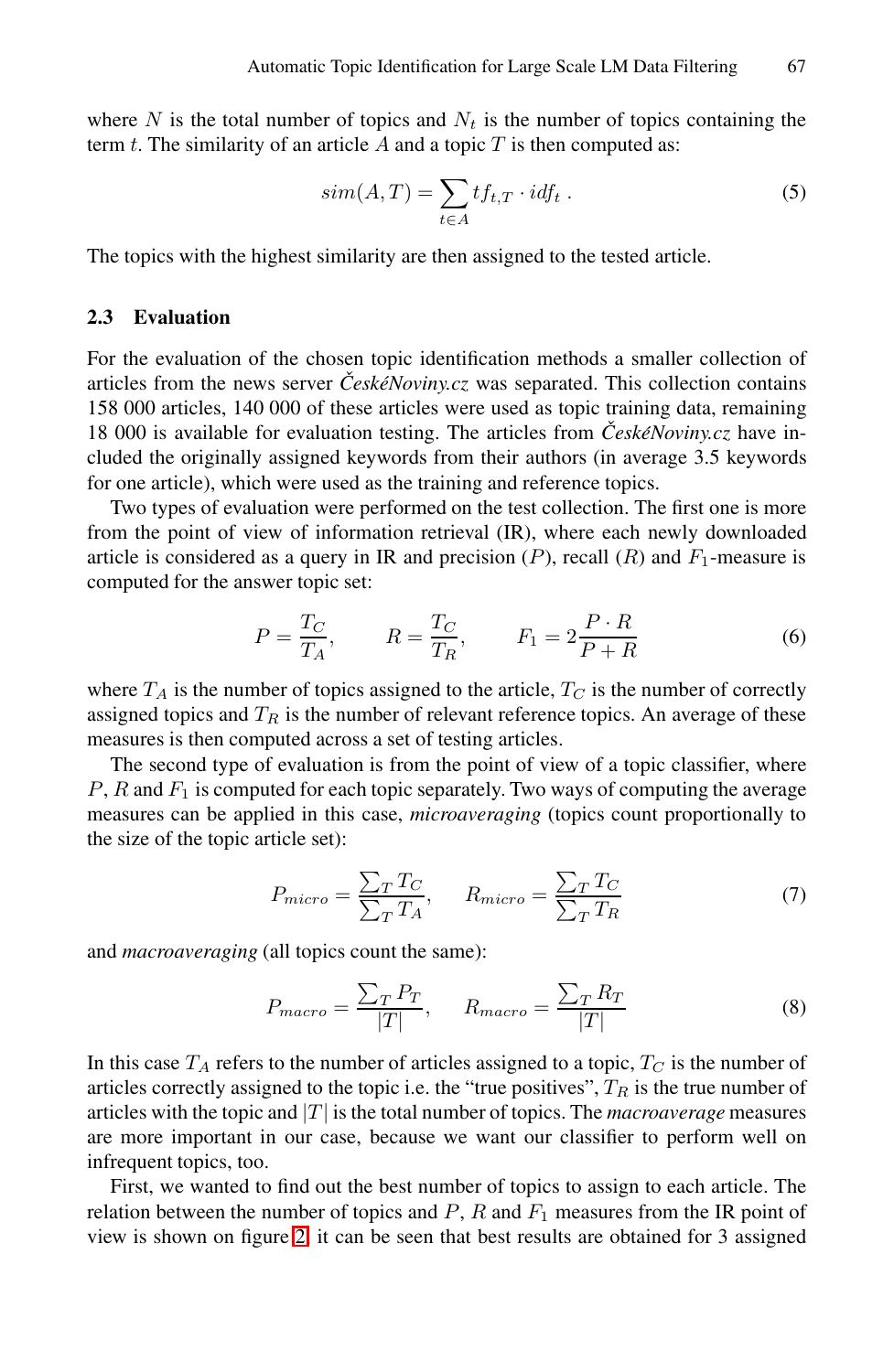where  $N$  is the total number of topics and  $N_t$  is the number of topics containing the term *t*. The similarity of an article *A* and a topic *T* is then computed as:

$$
sim(A,T) = \sum_{t \in A} t f_{t,T} \cdot idf_t . \tag{5}
$$

The topics with the highest similarity are then assigned to the tested article.

#### **2.3 Evaluation**

For the evaluation of the chosen topic identification methods a smaller collection of articles from the news server *ČeskéNoviny.cz* was separated. This collection contains 158 000 articles, 140 000 of these articles were used as topic training data, remaining 18 000 is available for evaluation testing. The articles from *ČeskéNoviny.cz* have included the originally assigned keywords from their authors (in average 3.5 keywords for one article), which were used as the training and reference topics.

Two types of evaluation were performed on the test collection. The first one is more from the point of view of information retrieval (IR), where each newly downloaded article is considered as a query in IR and precision  $(P)$ , recall  $(R)$  and  $F_1$ -measure is computed for the answer topic set:

$$
P = \frac{T_C}{T_A}, \qquad R = \frac{T_C}{T_R}, \qquad F_1 = 2\frac{P \cdot R}{P + R} \tag{6}
$$

where  $T_A$  is the number of topics assigned to the article,  $T_C$  is the number of correctly assigned topics and  $T_R$  is the number of relevant reference topics. An average of these measures is then computed across a set of testing articles.

The second type of evaluation is from the point of view of a topic classifier, where *P*, *R* and  $F_1$  is computed for each topic separately. Two ways of computing the average measures can be applied in this case, *microaveraging* (topics count proportionally to the size of the topic article set):

$$
P_{micro} = \frac{\sum_{T} T_C}{\sum_{T} T_A}, \qquad R_{micro} = \frac{\sum_{T} T_C}{\sum_{T} T_R}
$$
(7)

and *macroaveraging* (all topics count the same):

$$
P_{macro} = \frac{\sum_{T} P_{T}}{|T|}, \qquad R_{macro} = \frac{\sum_{T} R_{T}}{|T|}
$$
(8)

In this case  $T_A$  refers to the number of articles assigned to a topic,  $T_C$  is the number of articles correctly assigned to the topic i.e. the "true positives", *T<sup>R</sup>* is the true number of articles with the topic and <sup>|</sup>*<sup>T</sup>* <sup>|</sup> is the total number of topics. The *macroaverage* measures are more important in our case, because we want our classifier to perform well on infrequent topics, too.

First, we wanted to find out the best number of topics to assign to each article. The relation between the number of topics and  $P$ ,  $R$  and  $F_1$  measures from the IR point of view is shown on figure [2,](#page-4-0) it can be seen that best results are obtained for 3 assigned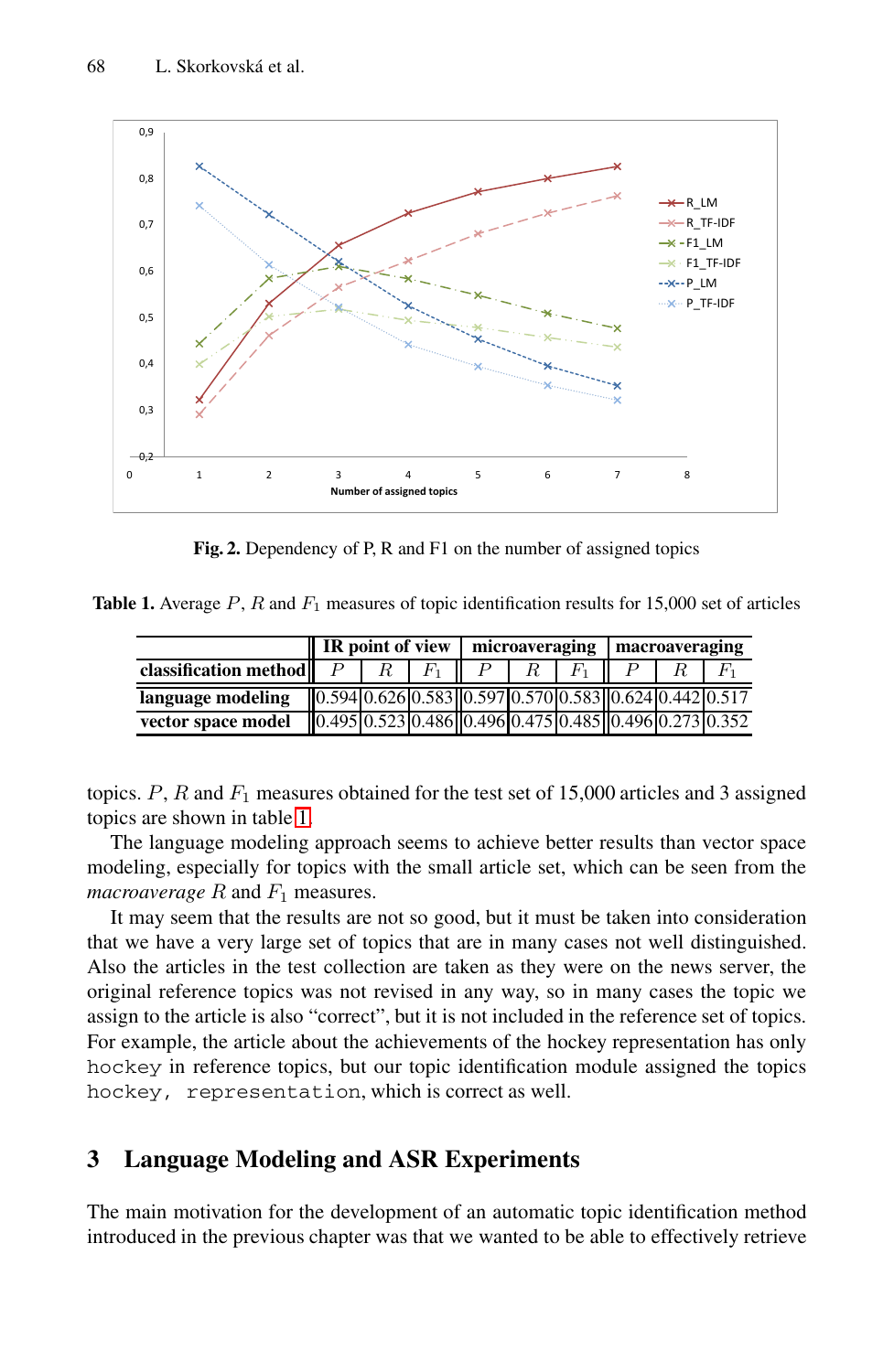

<span id="page-4-0"></span>**Fig. 2.** Dependency of P, R and F1 on the number of assigned topics

**Table 1.** Average *P*, *R* and *F*<sup>1</sup> measures of topic identification results for 15,000 set of articles

<span id="page-4-1"></span>

|                                                                                     | IR point of view |  |  | microaveraging |  |                                                                  | macroaveraging |  |  |
|-------------------------------------------------------------------------------------|------------------|--|--|----------------|--|------------------------------------------------------------------|----------------|--|--|
| classification method $\parallel$ $P$ $\parallel$ $R$ $\parallel$ $F_1$ $\parallel$ |                  |  |  |                |  | $R \mid F_1$                                                     |                |  |  |
| <b>language modeling</b>   0.594 0.626 0.583  0.597 0.570 0.583  0.624 0.442 0.517  |                  |  |  |                |  |                                                                  |                |  |  |
| vector space model                                                                  |                  |  |  |                |  | $[0.495] 0.523] 0.486 [0.496] 0.475] 0.485 [0.496] 0.273] 0.352$ |                |  |  |

topics. *P*, *R* and *F*<sup>1</sup> measures obtained for the test set of 15,000 articles and 3 assigned topics are shown in table [1.](#page-4-1)

The language modeling approach seems to achieve better results than vector space modeling, especially for topics with the small article set, which can be seen from the *macroaverage*  $R$  and  $F_1$  measures.

It may seem that the results are not so good, but it must be taken into consideration that we have a very large set of topics that are in many cases not well distinguished. Also the articles in the test collection are taken as they were on the news server, the original reference topics was not revised in any way, so in many cases the topic we assign to the article is also "correct", but it is not included in the reference set of topics. For example, the article about the achievements of the hockey representation has only hockey in reference topics, but our topic identification module assigned the topics hockey, representation, which is correct as well.

## **3 Language Modeling and ASR Experiments**

The main motivation for the development of an automatic topic identification method introduced in the previous chapter was that we wanted to be able to effectively retrieve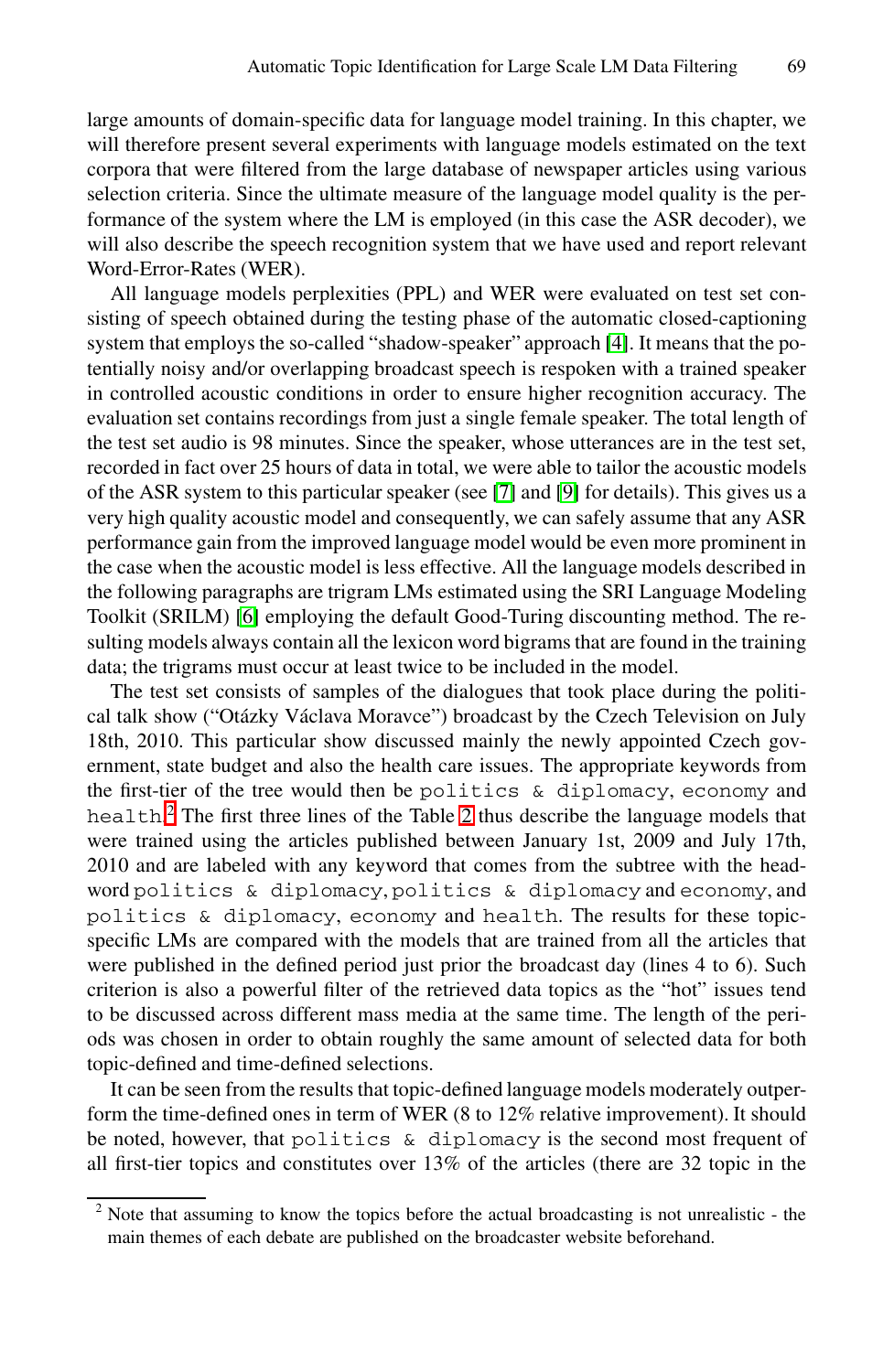large amounts of domain-specific data for language model training. In this chapter, we will therefore present several experiments with language models estimated on the text corpora that were filtered from the large database of newspaper articles using various selection criteria. Since the ultimate measure of the language model quality is the performance of the system where the LM is employed (in this case the ASR decoder), we will also describe the speech recognition system that we have used and report relevant Word-Error-Rates (WER).

All language models perplexities (PPL) and WER were evaluated on test set consisting of speech obtained during the testing phase of the automatic closed-captioning system that employs the so-called "shadow-speaker" approach [\[4\]](#page-7-5). It means that the potentially noisy and/or overlapping broadcast speech is respoken with a trained speaker in controlled acoustic conditions in order to ensure higher recognition accuracy. The evaluation set contains recordings from just a single female speaker. The total length of the test set audio is 98 minutes. Since the speaker, whose utterances are in the test set, recorded in fact over 25 hours of data in total, we were able to tailor the acoustic models of the ASR system to this particular speaker (see [\[7\]](#page-7-6) and [\[9\]](#page-7-7) for details). This gives us a very high quality acoustic model and consequently, we can safely assume that any ASR performance gain from the improved language model would be even more prominent in the case when the acoustic model is less effective. All the language models described in the following paragraphs are trigram LMs estimated using the SRI Language Modeling Toolkit (SRILM) [\[6\]](#page-7-8) employing the default Good-Turing discounting method. The resulting models always contain all the lexicon word bigrams that are found in the training data; the trigrams must occur at least twice to be included in the model.

The test set consists of samples of the dialogues that took place during the political talk show ("Otázky Václava Moravce") broadcast by the Czech Television on July 18th, 2010. This particular show discussed mainly the newly appointed Czech government, state budget and also the health care issues. The appropriate keywords from the first-tier of the tree would then be politics & diplomacy, economy and health.<sup>[2](#page-5-0)</sup> The first three lines of the Table [2](#page-6-0) thus describe the language models that were trained using the articles published between January 1st, 2009 and July 17th, 2010 and are labeled with any keyword that comes from the subtree with the headword politics & diplomacy, politics & diplomacy and economy, and politics & diplomacy, economy and health. The results for these topicspecific LMs are compared with the models that are trained from all the articles that were published in the defined period just prior the broadcast day (lines 4 to 6). Such criterion is also a powerful filter of the retrieved data topics as the "hot" issues tend to be discussed across different mass media at the same time. The length of the periods was chosen in order to obtain roughly the same amount of selected data for both topic-defined and time-defined selections.

It can be seen from the results that topic-defined language models moderately outperform the time-defined ones in term of WER (8 to 12% relative improvement). It should be noted, however, that politics & diplomacy is the second most frequent of all first-tier topics and constitutes over 13% of the articles (there are 32 topic in the

<span id="page-5-0"></span> $2$  Note that assuming to know the topics before the actual broadcasting is not unrealistic - the main themes of each debate are published on the broadcaster website beforehand.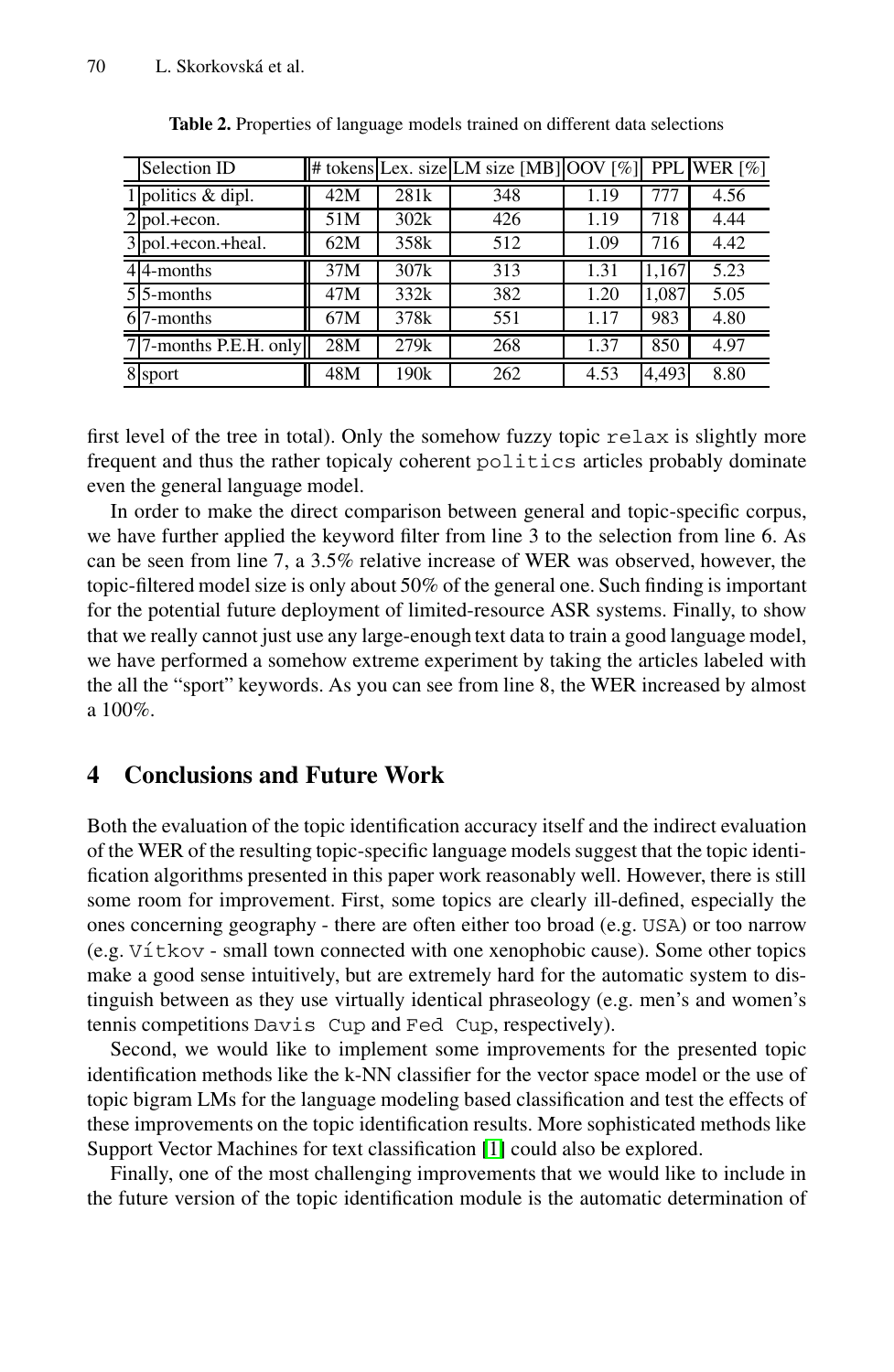| Selection ID                     |     |                  | # tokens Lex. size LM size [MB] $ OOV $ |      |       | PPL WER [%] |
|----------------------------------|-----|------------------|-----------------------------------------|------|-------|-------------|
| $\sqrt{\text{polities}}$ & dipl. | 42M | 281k             | 348                                     | 1.19 | 777   | 4.56        |
| $2$ pol. $+$ econ.               | 51M | 302k             | 426                                     | 1.19 | 718   | 4.44        |
| 3 pol.+econ.+heal.               | 62M | 358k             | 512                                     | 1.09 | 716   | 4.42        |
| $4$ -months                      | 37M | 307k             | 313                                     | 1.31 | 1.167 | 5.23        |
| $5\overline{\smash{5}}$ -months  | 47M | 332k             | 382                                     | 1.20 | 1,087 | 5.05        |
| $617$ -months                    | 67M | 378k             | 551                                     | 1.17 | 983   | 4.80        |
| 77-months P.E.H. only            | 28M | 279k             | 268                                     | 1.37 | 850   | 4.97        |
| 8 sport                          | 48M | 190 <sub>k</sub> | 262                                     | 4.53 | 4.493 | 8.80        |

<span id="page-6-0"></span>**Table 2.** Properties of language models trained on different data selections

first level of the tree in total). Only the somehow fuzzy topic relax is slightly more frequent and thus the rather topicaly coherent politics articles probably dominate even the general language model.

In order to make the direct comparison between general and topic-specific corpus, we have further applied the keyword filter from line 3 to the selection from line 6. As can be seen from line 7, a 3.5% relative increase of WER was observed, however, the topic-filtered model size is only about 50% of the general one. Such finding is important for the potential future deployment of limited-resource ASR systems. Finally, to show that we really cannot just use any large-enough text data to train a good language model, we have performed a somehow extreme experiment by taking the articles labeled with the all the "sport" keywords. As you can see from line 8, the WER increased by almost a 100%.

## **4 Conclusions and Future Work**

Both the evaluation of the topic identification accuracy itself and the indirect evaluation of the WER of the resulting topic-specific language models suggest that the topic identification algorithms presented in this paper work reasonably well. However, there is still some room for improvement. First, some topics are clearly ill-defined, especially the ones concerning geography - there are often either too broad (e.g. USA) or too narrow  $(e.g. Vítkov - small town connected with one xenophobic cause)$ . Some other topics make a good sense intuitively, but are extremely hard for the automatic system to distinguish between as they use virtually identical phraseology (e.g. men's and women's tennis competitions Davis Cup and Fed Cup, respectively).

Second, we would like to implement some improvements for the presented topic identification methods like the k-NN classifier for the vector space model or the use of topic bigram LMs for the language modeling based classification and test the effects of these improvements on the topic identification results. More sophisticated methods like Support Vector Machines for text classification [\[1\]](#page-7-9) could also be explored.

Finally, one of the most challenging improvements that we would like to include in the future version of the topic identification module is the automatic determination of